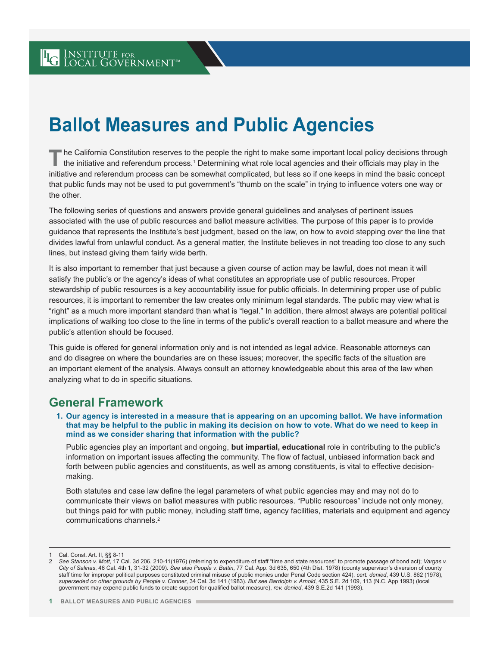# **Ballot Measures and Public Agencies**

The California Constitution reserves to the people the right to make some important local policy decisions through<br>the initiative and referendum process.<sup>1</sup> Determining what role local agencies and their officials may play initiative and referendum process can be somewhat complicated, but less so if one keeps in mind the basic concept that public funds may not be used to put government's "thumb on the scale" in trying to influence voters one way or the other.

The following series of questions and answers provide general guidelines and analyses of pertinent issues associated with the use of public resources and ballot measure activities. The purpose of this paper is to provide guidance that represents the Institute's best judgment, based on the law, on how to avoid stepping over the line that divides lawful from unlawful conduct. As a general matter, the Institute believes in not treading too close to any such lines, but instead giving them fairly wide berth.

It is also important to remember that just because a given course of action may be lawful, does not mean it will satisfy the public's or the agency's ideas of what constitutes an appropriate use of public resources. Proper stewardship of public resources is a key accountability issue for public officials. In determining proper use of public resources, it is important to remember the law creates only minimum legal standards. The public may view what is "right" as a much more important standard than what is "legal." In addition, there almost always are potential political implications of walking too close to the line in terms of the public's overall reaction to a ballot measure and where the public's attention should be focused.

This guide is offered for general information only and is not intended as legal advice. Reasonable attorneys can and do disagree on where the boundaries are on these issues; moreover, the specific facts of the situation are an important element of the analysis. Always consult an attorney knowledgeable about this area of the law when analyzing what to do in specific situations.

### **General Framework**

**1. Our agency is interested in a measure that is appearing on an upcoming ballot. We have information that may be helpful to the public in making its decision on how to vote. What do we need to keep in mind as we consider sharing that information with the public?**

Public agencies play an important and ongoing, **but impartial, educational** role in contributing to the public's information on important issues affecting the community. The flow of factual, unbiased information back and forth between public agencies and constituents, as well as among constituents, is vital to effective decisionmaking.

Both statutes and case law define the legal parameters of what public agencies may and may not do to communicate their views on ballot measures with public resources. "Public resources" include not only money, but things paid for with public money, including staff time, agency facilities, materials and equipment and agency communications channels.<sup>2</sup>

Cal. Const. Art. II, §§ 8-11

<sup>2</sup> *See Stanson v. Mott*, 17 Cal. 3d 206, 210-11(1976) (referring to expenditure of staff "time and state resources" to promote passage of bond act); *Vargas v. City of Salinas*, 46 Cal. 4th 1, 31-32 (2009). *See also People v. Battin*, 77 Cal. App. 3d 635, 650 (4th Dist. 1978) (county supervisor's diversion of county staff time for improper political purposes constituted criminal misuse of public monies under Penal Code section 424), *cert. denied*, 439 U.S. 862 (1978), *superseded on other grounds by People v. Conner*, 34 Cal. 3d 141 (1983). *But see Bardolph v. Arnold*, 435 S.E. 2d 109, 113 (N.C. App 1993) (local government may expend public funds to create support for qualified ballot measure), *rev. denied*, 439 S.E.2d 141 (1993).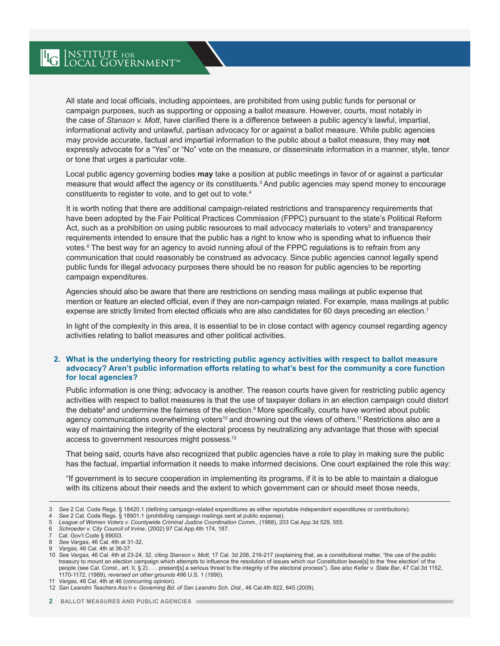All state and local officials, including appointees, are prohibited from using public funds for personal or campaign purposes, such as supporting or opposing a ballot measure. However, courts, most notably in the case of *Stanson v. Mott*, have clarified there is a difference between a public agency's lawful, impartial, informational activity and unlawful, partisan advocacy for or against a ballot measure. While public agencies may provide accurate, factual and impartial information to the public about a ballot measure, they may **not** expressly advocate for a "Yes" or "No" vote on the measure, or disseminate information in a manner, style, tenor or tone that urges a particular vote.

Local public agency governing bodies **may** take a position at public meetings in favor of or against a particular measure that would affect the agency or its constituents.3 And public agencies may spend money to encourage constituents to register to vote, and to get out to vote.4

It is worth noting that there are additional campaign-related restrictions and transparency requirements that have been adopted by the Fair Political Practices Commission (FPPC) pursuant to the state's Political Reform Act, such as a prohibition on using public resources to mail advocacy materials to voters<sup>s</sup> and transparency requirements intended to ensure that the public has a right to know who is spending what to influence their votes.<sup>6</sup> The best way for an agency to avoid running afoul of the FPPC regulations is to refrain from any communication that could reasonably be construed as advocacy. Since public agencies cannot legally spend public funds for illegal advocacy purposes there should be no reason for public agencies to be reporting campaign expenditures.

Agencies should also be aware that there are restrictions on sending mass mailings at public expense that mention or feature an elected official, even if they are non-campaign related. For example, mass mailings at public expense are strictly limited from elected officials who are also candidates for 60 days preceding an election.<sup>7</sup>

In light of the complexity in this area, it is essential to be in close contact with agency counsel regarding agency activities relating to ballot measures and other political activities.

#### **2. What is the underlying theory for restricting public agency activities with respect to ballot measure advocacy? Aren't public information efforts relating to what's best for the community a core function for local agencies?**

Public information is one thing; advocacy is another. The reason courts have given for restricting public agency activities with respect to ballot measures is that the use of taxpayer dollars in an election campaign could distort the debate<sup>8</sup> and undermine the fairness of the election.<sup>9</sup> More specifically, courts have worried about public agency communications overwhelming voters<sup>10</sup> and drowning out the views of others.<sup>11</sup> Restrictions also are a way of maintaining the integrity of the electoral process by neutralizing any advantage that those with special access to government resources might possess.<sup>12</sup>

That being said, courts have also recognized that public agencies have a role to play in making sure the public has the factual, impartial information it needs to make informed decisions. One court explained the role this way:

"If government is to secure cooperation in implementing its programs, if it is to be able to maintain a dialogue with its citizens about their needs and the extent to which government can or should meet those needs,

4 *See* 2 Cal. Code Regs. § 18901.1 (prohibiting campaign mailings sent at public expense).

<sup>3</sup> *See* 2 Cal. Code Regs. § 18420.1 (defining campaign-related expenditures as either reportable independent expenditures or contributions).

<sup>5</sup> *League of Women Voters v. Countywide Criminal Justice Coordination Comm.,* (1988), 203 Cal.App.3d 529, 555.

<sup>6</sup> *Schroeder v. City Council of Irvine*, (2002) 97 Cal.App.4th 174, 187.

Cal. Gov't Code § 89003.

<sup>8</sup> *See Vargas*, 46 Cal. 4th at 31-32.

<sup>9</sup> *Vargas,* 46 Cal. 4th at 36-37.

<sup>10</sup> *See Vargas,* 46 Cal. 4th at 23-24, 32, citing *Stanson v. Mott*, 17 Cal. 3d 206, 216-217 (explaining that, as a constitutional matter, "the use of the public treasury to mount an election campaign which attempts to influence the resolution of issues which our Constitution leave[s] to the 'free election' of the people (see Cal. Const., art. II, § 2) . . . present[s] a serious threat to the integrity of the electoral process"). *See also Keller v. State Bar*, 47 Cal.3d 1152, 1170-1172, (1989), *reversed on other grounds* 496 U.S. 1 (1990).

<sup>11</sup> *Vargas,* 46 Cal. 4th at 46 (concurring opinion).

<sup>12</sup> *San Leandro Teachers Ass'n v. Governing Bd. of San Leandro Sch. Dist.*, 46 Cal.4th 822, 845 (2009).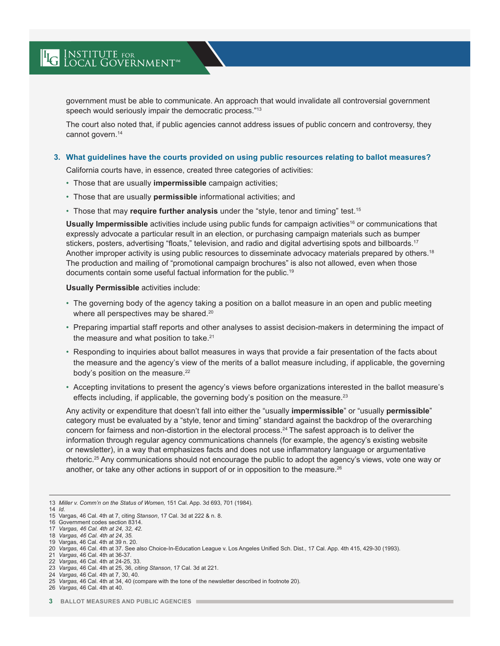government must be able to communicate. An approach that would invalidate all controversial government speech would seriously impair the democratic process."<sup>13</sup>

The court also noted that, if public agencies cannot address issues of public concern and controversy, they cannot govern.<sup>14</sup>

#### **3. What guidelines have the courts provided on using public resources relating to ballot measures?**

California courts have, in essence, created three categories of activities:

- Those that are usually **impermissible** campaign activities;
- Those that are usually **permissible** informational activities; and
- Those that may **require further analysis** under the "style, tenor and timing" test.15

**Usually Impermissible** activities include using public funds for campaign activities<sup>16</sup> or communications that expressly advocate a particular result in an election, or purchasing campaign materials such as bumper stickers, posters, advertising "floats," television, and radio and digital advertising spots and billboards.<sup>17</sup> Another improper activity is using public resources to disseminate advocacy materials prepared by others.<sup>18</sup> The production and mailing of "promotional campaign brochures" is also not allowed, even when those documents contain some useful factual information for the public.<sup>19</sup>

**Usually Permissible** activities include:

- The governing body of the agency taking a position on a ballot measure in an open and public meeting where all perspectives may be shared. 20
- Preparing impartial staff reports and other analyses to assist decision-makers in determining the impact of the measure and what position to take. 21
- Responding to inquiries about ballot measures in ways that provide a fair presentation of the facts about the measure and the agency's view of the merits of a ballot measure including, if applicable, the governing body's position on the measure.<sup>22</sup>
- Accepting invitations to present the agency's views before organizations interested in the ballot measure's effects including, if applicable, the governing body's position on the measure.<sup>23</sup>

Any activity or expenditure that doesn't fall into either the "usually **impermissible**" or "usually **permissible**" category must be evaluated by a "style, tenor and timing" standard against the backdrop of the overarching concern for fairness and non-distortion in the electoral process.<sup>24</sup> The safest approach is to deliver the information through regular agency communications channels (for example, the agency's existing website or newsletter), in a way that emphasizes facts and does not use inflammatory language or argumentative rhetoric.25 Any communications should not encourage the public to adopt the agency's views, vote one way or another, or take any other actions in support of or in opposition to the measure.<sup>26</sup>

<sup>13</sup> *Miller v. Comm'n on the Status of Women,* 151 Cal. App. 3d 693, 701 (1984).

<sup>14</sup> *Id.*

<sup>15</sup> Vargas, 46 Cal. 4th at 7, citing *Stanson*, 17 Cal. 3d at 222 & n. 8.

<sup>16</sup> Government codes section 8314.

<sup>17</sup> *Vargas, 46 Cal. 4th at 24, 32, 42.*

<sup>18</sup> *Vargas, 46 Cal. 4th at 24, 35.* 19 Vargas, 46 Cal. 4th at 39 n. 20.

<sup>20</sup> *Vargas,* 46 Cal. 4th at 37. See also Choice-In-Education League v. Los Angeles Unified Sch. Dist., 17 Cal. App. 4th 415, 429-30 (1993).

<sup>21</sup> *Vargas*, 46 Cal. 4th at 36-37.

<sup>22</sup> *Vargas,* 46 Cal. 4th at 24-25, 33.

<sup>23</sup> *Vargas,* 46 Cal. 4th at 25, 36, *citing Stanson*, 17 Cal. 3d at 221.

<sup>24</sup> *Vargas,* 46 Cal. 4th at 7, 30, 40.

<sup>25</sup> *Vargas,* 46 Cal. 4th at 34, 40 (compare with the tone of the newsletter described in footnote 20).

<sup>26</sup> *Vargas,* 46 Cal. 4th at 40.

**<sup>3</sup> BALLOT MEASURES AND PUBLIC AGENCIES**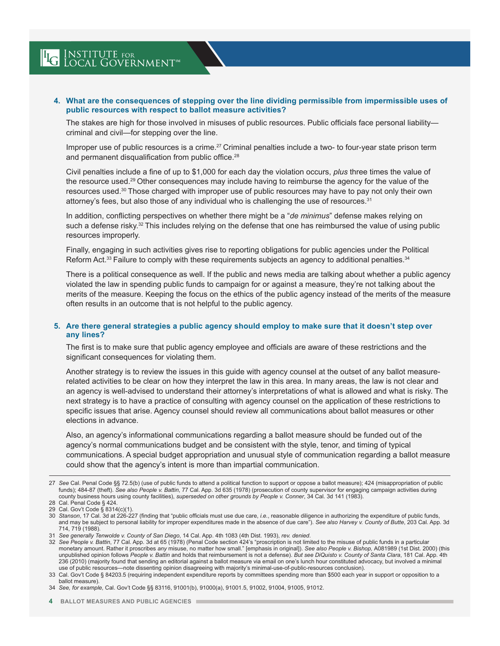#### **4. What are the consequences of stepping over the line dividing permissible from impermissible uses of public resources with respect to ballot measure activities?**

The stakes are high for those involved in misuses of public resources. Public officials face personal liability criminal and civil—for stepping over the line.

Improper use of public resources is a crime.<sup>27</sup> Criminal penalties include a two- to four-year state prison term and permanent disqualification from public office.<sup>28</sup>

Civil penalties include a fine of up to \$1,000 for each day the violation occurs, *plus* three times the value of the resource used.29 Other consequences may include having to reimburse the agency for the value of the resources used.30 Those charged with improper use of public resources may have to pay not only their own attorney's fees, but also those of any individual who is challenging the use of resources.31

In addition, conflicting perspectives on whether there might be a "*de minimus*" defense makes relying on such a defense risky.<sup>32</sup> This includes relying on the defense that one has reimbursed the value of using public resources improperly.

Finally, engaging in such activities gives rise to reporting obligations for public agencies under the Political Reform Act.<sup>33</sup> Failure to comply with these requirements subjects an agency to additional penalties.<sup>34</sup>

There is a political consequence as well. If the public and news media are talking about whether a public agency violated the law in spending public funds to campaign for or against a measure, they're not talking about the merits of the measure. Keeping the focus on the ethics of the public agency instead of the merits of the measure often results in an outcome that is not helpful to the public agency.

#### **5. Are there general strategies a public agency should employ to make sure that it doesn't step over any lines?**

The first is to make sure that public agency employee and officials are aware of these restrictions and the significant consequences for violating them.

Another strategy is to review the issues in this guide with agency counsel at the outset of any ballot measurerelated activities to be clear on how they interpret the law in this area. In many areas, the law is not clear and an agency is well-advised to understand their attorney's interpretations of what is allowed and what is risky. The next strategy is to have a practice of consulting with agency counsel on the application of these restrictions to specific issues that arise. Agency counsel should review all communications about ballot measures or other elections in advance.

Also, an agency's informational communications regarding a ballot measure should be funded out of the agency's normal communications budget and be consistent with the style, tenor, and timing of typical communications. A special budget appropriation and unusual style of communication regarding a ballot measure could show that the agency's intent is more than impartial communication.

33 Cal. Gov't Code § 84203.5 (requiring independent expenditure reports by committees spending more than \$500 each year in support or opposition to a ballot measure).

<sup>27</sup> *See* Cal. Penal Code §§ 72.5(b) (use of public funds to attend a political function to support or oppose a ballot measure); 424 (misappropriation of public funds); 484-87 (theft). *See also People v. Battin*, 77 Cal. App. 3d 635 (1978) (prosecution of county supervisor for engaging campaign activities during county business hours using county facilities), *superseded on other grounds by People v. Conner*, 34 Cal. 3d 141 (1983).

<sup>28</sup> Cal. Penal Code § 424.

<sup>29</sup> Cal. Gov't Code § 8314(c)(1).

<sup>30</sup> *Stanson*, 17 Cal. 3d at 226-227 (finding that "public officials must use due care, *i.e.*, reasonable diligence in authorizing the expenditure of public funds, and may be subject to personal liability for improper expenditures made in the absence of due care"). *See also Harvey v. County of Butte*, 203 Cal. App. 3d 714, 719 (1988).

<sup>31</sup> *See generally Tenwolde v. County of San Diego*, 14 Cal. App. 4th 1083 (4th Dist. 1993), *rev. denied*.

<sup>32</sup> *See People v. Battin*, 77 Cal. App. 3d at 65 (1978) (Penal Code section 424's "proscription is not limited to the misuse of public funds in a particular monetary amount. Rather it proscribes *any* misuse, no matter how small." [emphasis in original]). *See also People v. Bishop,* A081989 (1st Dist. 2000) (this unpublished opinion follows *People v. Battin* and holds that reimbursement is not a defense). *But see DiQuisto v. County of Santa Clara*, 181 Cal. App. 4th 236 (2010) (majority found that sending an editorial against a ballot measure via email on one's lunch hour constituted advocacy, but involved a minimal use of public resources—note dissenting opinion disagreeing with majority's minimal-use-of-public-resources conclusion).

<sup>34</sup> *See, for example,* Cal. Gov't Code §§ 83116, 91001(b), 91000(a), 91001.5, 91002, 91004, 91005, 91012.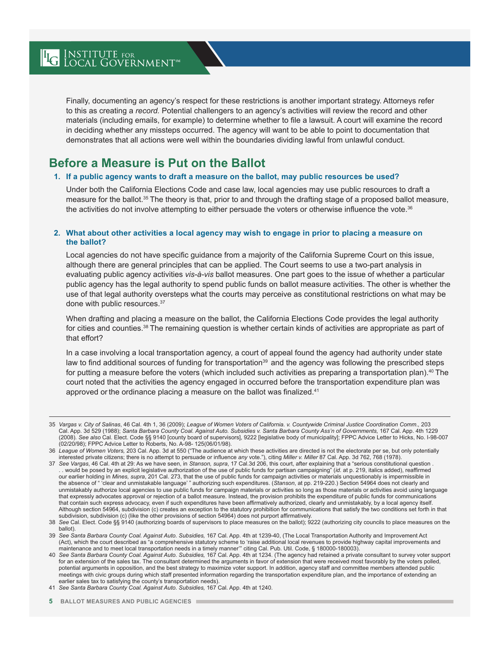Finally, documenting an agency's respect for these restrictions is another important strategy. Attorneys refer to this as creating a *record.* Potential challengers to an agency's activities will review the record and other materials (including emails, for example) to determine whether to file a lawsuit. A court will examine the record in deciding whether any missteps occurred. The agency will want to be able to point to documentation that demonstrates that all actions were well within the boundaries dividing lawful from unlawful conduct.

### **Before a Measure is Put on the Ballot**

**LG** INSTITUTE FOR INTERNATION

#### **1. If a public agency wants to draft a measure on the ballot, may public resources be used?**

Under both the California Elections Code and case law, local agencies may use public resources to draft a measure for the ballot.35 The theory is that, prior to and through the drafting stage of a proposed ballot measure, the activities do not involve attempting to either persuade the voters or otherwise influence the vote.<sup>36</sup>

#### **2. What about other activities a local agency may wish to engage in prior to placing a measure on the ballot?**

Local agencies do not have specific guidance from a majority of the California Supreme Court on this issue, although there are general principles that can be applied. The Court seems to use a two-part analysis in evaluating public agency activities *vis-à-vis* ballot measures. One part goes to the issue of whether a particular public agency has the legal authority to spend public funds on ballot measure activities. The other is whether the use of that legal authority oversteps what the courts may perceive as constitutional restrictions on what may be done with public resources.<sup>37</sup>

When drafting and placing a measure on the ballot, the California Elections Code provides the legal authority for cities and counties.<sup>38</sup> The remaining question is whether certain kinds of activities are appropriate as part of that effort?

In a case involving a local transportation agency, a court of appeal found the agency had authority under state law to find additional sources of funding for transportation<sup>39</sup> and the agency was following the prescribed steps for putting a measure before the voters (which included such activities as preparing a transportation plan).40 The court noted that the activities the agency engaged in occurred before the transportation expenditure plan was approved or the ordinance placing a measure on the ballot was finalized.<sup>41</sup>

<sup>35</sup> *Vargas v. City of Salinas*, 46 Cal. 4th 1, 36 (2009); *League of Women Voters of California. v. Countywide Criminal Justice Coordination Comm.,* 203 Cal. App. 3d 529 (1988); *Santa Barbara County Coal. Against Auto. Subsidies v. Santa Barbara County Ass'n of Governments,* 167 Cal. App. 4th 1229 (2008). See *also* Cal. Elect. Code §§ 9140 [county board of supervisors], 9222 [legislative body of municipality]; FPPC Advice Letter to Hicks, No. I-98-007<br>(02/20/98); FPPC Advice Letter to Roberts, No. A-98- 125(06/01/9

<sup>36</sup> *League of Women Voters,* 203 Cal. App. 3d at 550 ("The audience at which these activities are directed is not the electorate per se, but only potentially interested private citizens; there is no attempt to persuade or influence *any* vote."), citing *Miller v. Miller* 87 Cal. App. 3d 762, 768 (1978).<br>. 37 See *Vargas*, 46 Cal. 4th at 29: As we have seen, in Stanson, su*pra* 

<sup>. .</sup> would be posed by an explicit legislative authorization of the use of public funds for partisan campaigning" (*id.* at p. 219, italics added), reaffirmed our earlier holding in *Mines, supra*, 201 Cal. 273, that the use of public funds for campaign activities or materials unquestionably is impermissible in the absence of " 'clear and unmistakable language' " authorizing such expenditures. (*Stanson*, at pp. 219-220.) Section 54964 does not clearly and unmistakably authorize local agencies to use public funds for campaign materials or activities so long as those materials or activities avoid using language that expressly advocates approval or rejection of a ballot measure. Instead, the provision prohibits the expenditure of public funds for communications that contain such express advocacy, even if such expenditures have been affirmatively authorized, clearly and unmistakably, by a local agency itself. Although section 54964, subdivision (c) creates an exception to the statutory prohibition for communications that satisfy the two conditions set forth in that

subdivision, subdivision (c) (like the other provisions of section 54964) does not purport affirmatively.<br>38 See Cal. Elect. Code §§ 9140 (authorizing boards of supervisors to place measures on the ballot); 9222 (authoriz ballot).

<sup>39</sup> *See Santa Barbara County Coal. Against Auto. Subsidies,* 167 Cal. App. 4th at 1239-40, (The Local Transportation Authority and Improvement Act (Act), which the court described as "a comprehensive statutory scheme to 'raise additional local revenues to provide highway capital improvements and maintenance and to meet local transportation needs in a timely manner'" citing Cal. Pub. Util. Code, § 180000-180003).

<sup>40</sup> *See Santa Barbara County Coal. Against Auto. Subsidies,* 167 Cal. App. 4th at 1234. (The agency had retained a private consultant to survey voter support for an extension of the sales tax. The consultant determined the arguments in favor of extension that were received most favorably by the voters polled, potential arguments in opposition, and the best strategy to maximize voter support. In addition, agency staff and committee members attended public meetings with civic groups during which staff presented information regarding the transportation expenditure plan, and the importance of extending an earlier sales tax to satisfying the county's transportation needs).

<sup>41</sup> *See Santa Barbara County Coal. Against Auto. Subsidies,* 167 Cal. App. 4th at 1240.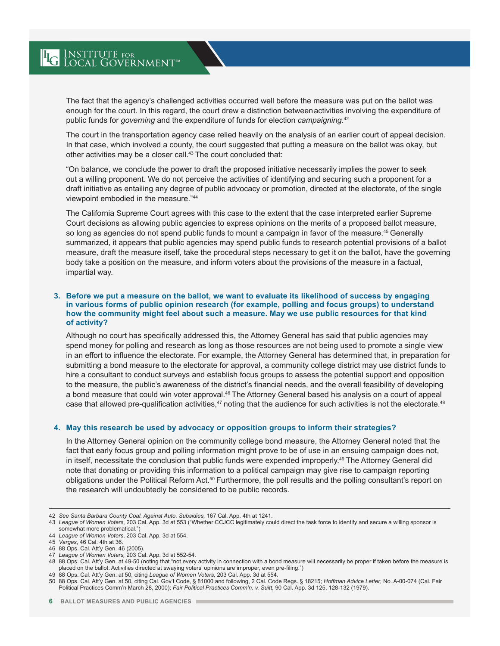The fact that the agency's challenged activities occurred well before the measure was put on the ballot was enough for the court. In this regard, the court drew a distinction between activities involving the expenditure of public funds for *governing* and the expenditure of funds for election *campaigning.*<sup>42</sup>

The court in the transportation agency case relied heavily on the analysis of an earlier court of appeal decision. In that case, which involved a county, the court suggested that putting a measure on the ballot was okay, but other activities may be a closer call.<sup>43</sup> The court concluded that:

"On balance, we conclude the power to draft the proposed initiative necessarily implies the power to seek out a willing proponent. We do not perceive the activities of identifying and securing such a proponent for a draft initiative as entailing any degree of public advocacy or promotion, directed at the electorate, of the single viewpoint embodied in the measure."44

The California Supreme Court agrees with this case to the extent that the case interpreted earlier Supreme Court decisions as allowing public agencies to express opinions on the merits of a proposed ballot measure, so long as agencies do not spend public funds to mount a campaign in favor of the measure.<sup>45</sup> Generally summarized, it appears that public agencies may spend public funds to research potential provisions of a ballot measure, draft the measure itself, take the procedural steps necessary to get it on the ballot, have the governing body take a position on the measure, and inform voters about the provisions of the measure in a factual, impartial way.

#### **3. Before we put a measure on the ballot, we want to evaluate its likelihood of success by engaging in various forms of public opinion research (for example, polling and focus groups) to understand how the community might feel about such a measure. May we use public resources for that kind of activity?**

Although no court has specifically addressed this, the Attorney General has said that public agencies may spend money for polling and research as long as those resources are not being used to promote a single view in an effort to influence the electorate. For example, the Attorney General has determined that, in preparation for submitting a bond measure to the electorate for approval, a community college district may use district funds to hire a consultant to conduct surveys and establish focus groups to assess the potential support and opposition to the measure, the public's awareness of the district's financial needs, and the overall feasibility of developing a bond measure that could win voter approval.46 The Attorney General based his analysis on a court of appeal case that allowed pre-qualification activities,<sup>47</sup> noting that the audience for such activities is not the electorate.<sup>48</sup>

#### **4. May this research be used by advocacy or opposition groups to inform their strategies?**

In the Attorney General opinion on the community college bond measure, the Attorney General noted that the fact that early focus group and polling information might prove to be of use in an ensuing campaign does not, in itself, necessitate the conclusion that public funds were expended improperly.49 The Attorney General did note that donating or providing this information to a political campaign may give rise to campaign reporting obligations under the Political Reform Act.<sup>50</sup> Furthermore, the poll results and the polling consultant's report on the research will undoubtedly be considered to be public records.

47 *League of Women Voters,* 203 Cal. App. 3d at 552-54.

49 88 Ops. Cal. Att'y Gen. at 50, citing *League of Women Voters,* 203 Cal. App. 3d at 554.

<sup>42</sup> *See Santa Barbara County Coal. Against Auto. Subsidies,* 167 Cal. App. 4th at 1241.

<sup>43</sup> *League of Women Voters*, 203 Cal. App. 3d at 553 ("Whether CCJCC legitimately could direct the task force to identify and secure a willing sponsor is somewhat more problematical.")

<sup>44</sup> *League of Women Voters*, 203 Cal. App. 3d at 554.

<sup>45</sup> *Vargas*, 46 Cal. 4th at 36.

<sup>46</sup> 88 Ops. Cal. Att'y Gen. 46 (2005).

<sup>48</sup> 88 Ops. Cal. Att'y Gen. at 49-50 (noting that "not every activity in connection with a bond measure will necessarily be proper if taken before the measure is placed on the ballot. Activities directed at swaying voters' opinions are improper, even pre-filing.")

<sup>50</sup> 88 Ops. Cal. Att'y Gen. at 50, citing Cal. Gov't Code, § 81000 and following, 2 Cal. Code Regs. § 18215; *Hoffman Advice Letter*, No. A-00-074 (Cal. Fair Political Practices Comm'n March 28, 2000); *Fair Political Practices Comm'n. v. Suitt*, 90 Cal. App. 3d 125, 128-132 (1979).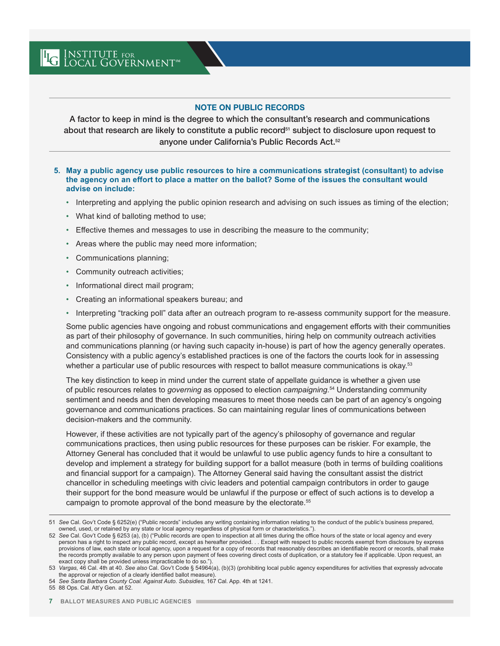#### NOTE ON PUBLIC RECORDS

A factor to keep in mind is the degree to which the consultant's research and communications about that research are likely to constitute a public record<sup>51</sup> subject to disclosure upon request to anyone under California's Public Records Act.52

#### **5. May a public agency use public resources to hire a communications strategist (consultant) to advise the agency on an effort to place a matter on the ballot? Some of the issues the consultant would advise on include:**

- Interpreting and applying the public opinion research and advising on such issues as timing of the election;
- What kind of balloting method to use;
- Effective themes and messages to use in describing the measure to the community;
- Areas where the public may need more information;
- Communications planning;
- Community outreach activities;
- Informational direct mail program;
- Creating an informational speakers bureau; and
- Interpreting "tracking poll" data after an outreach program to re-assess community support for the measure.

Some public agencies have ongoing and robust communications and engagement efforts with their communities as part of their philosophy of governance. In such communities, hiring help on community outreach activities and communications planning (or having such capacity in-house) is part of how the agency generally operates. Consistency with a public agency's established practices is one of the factors the courts look for in assessing whether a particular use of public resources with respect to ballot measure communications is okay.<sup>53</sup>

The key distinction to keep in mind under the current state of appellate guidance is whether a given use of public resources relates to *governing* as opposed to election *campaigning.*<sup>54</sup> Understanding community sentiment and needs and then developing measures to meet those needs can be part of an agency's ongoing governance and communications practices. So can maintaining regular lines of communications between decision-makers and the community.

However, if these activities are not typically part of the agency's philosophy of governance and regular communications practices, then using public resources for these purposes can be riskier. For example, the Attorney General has concluded that it would be unlawful to use public agency funds to hire a consultant to develop and implement a strategy for building support for a ballot measure (both in terms of building coalitions and financial support for a campaign). The Attorney General said having the consultant assist the district chancellor in scheduling meetings with civic leaders and potential campaign contributors in order to gauge their support for the bond measure would be unlawful if the purpose or effect of such actions is to develop a campaign to promote approval of the bond measure by the electorate.55

<sup>51</sup> *See* Cal. Gov't Code § 6252(e) ("Public records" includes any writing containing information relating to the conduct of the public's business prepared, owned, used, or retained by any state or local agency regardless of physical form or characteristics.").

<sup>52</sup> *See* Cal. Gov't Code § 6253 (a), (b) ("Public records are open to inspection at all times during the office hours of the state or local agency and every person has a right to inspect any public record, except as hereafter provided. . . Except with respect to public records exempt from disclosure by express provisions of law, each state or local agency, upon a request for a copy of records that reasonably describes an identifiable record or records, shall make the records promptly available to any person upon payment of fees covering direct costs of duplication, or a statutory fee if applicable. Upon request, an exact copy shall be provided unless impracticable to do so.").

<sup>53</sup> *Vargas,* 46 Cal. 4th at 40. *See also* Cal. Gov't Code § 54964(a), (b)(3) (prohibiting local public agency expenditures for activities that expressly advocate the approval or rejection of a clearly identified ballot measure).

<sup>54</sup> *See Santa Barbara County Coal. Against Auto. Subsidies,* 167 Cal. App. 4th at 1241.

<sup>55</sup> 88 Ops. Cal. Att'y Gen. at 52.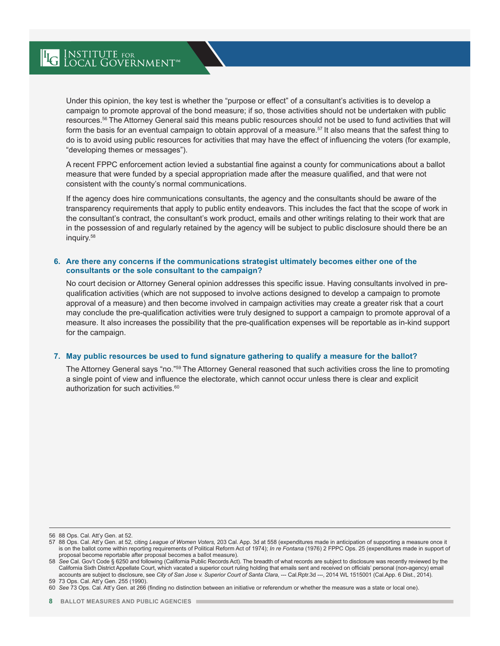Under this opinion, the key test is whether the "purpose or effect" of a consultant's activities is to develop a campaign to promote approval of the bond measure; if so, those activities should not be undertaken with public resources.56 The Attorney General said this means public resources should not be used to fund activities that will form the basis for an eventual campaign to obtain approval of a measure.<sup>57</sup> It also means that the safest thing to do is to avoid using public resources for activities that may have the effect of influencing the voters (for example, "developing themes or messages").

A recent FPPC enforcement action levied a substantial fine against a county for communications about a ballot measure that were funded by a special appropriation made after the measure qualified, and that were not consistent with the county's normal communications.

If the agency does hire communications consultants, the agency and the consultants should be aware of the transparency requirements that apply to public entity endeavors. This includes the fact that the scope of work in the consultant's contract, the consultant's work product, emails and other writings relating to their work that are in the possession of and regularly retained by the agency will be subject to public disclosure should there be an inquiry.58

#### **6. Are there any concerns if the communications strategist ultimately becomes either one of the consultants or the sole consultant to the campaign?**

No court decision or Attorney General opinion addresses this specific issue. Having consultants involved in prequalification activities (which are not supposed to involve actions designed to develop a campaign to promote approval of a measure) and then become involved in campaign activities may create a greater risk that a court may conclude the pre-qualification activities were truly designed to support a campaign to promote approval of a measure. It also increases the possibility that the pre-qualification expenses will be reportable as in-kind support for the campaign.

#### **7. May public resources be used to fund signature gathering to qualify a measure for the ballot?**

The Attorney General says "no."59 The Attorney General reasoned that such activities cross the line to promoting a single point of view and influence the electorate, which cannot occur unless there is clear and explicit authorization for such activities.<sup>60</sup>

56 88 Ops. Cal. Att'y Gen. at 52.

<sup>57</sup> 88 Ops. Cal. Att'y Gen. at 52*,* citing *League of Women Voters,* 203 Cal. App. 3d at 558 (expenditures made in anticipation of supporting a measure once it is on the ballot come within reporting requirements of Political Reform Act of 1974); *In re Fontana* (1976) 2 FPPC Ops. 25 (expenditures made in support of proposal become reportable after proposal becomes a ballot measure).

<sup>58</sup> *See* Cal. Gov't Code § 6250 and following (California Public Records Act). The breadth of what records are subject to disclosure was recently reviewed by the California Sixth District Appellate Court, which vacated a superior court ruling holding that emails sent and received on officials' personal (non-agency) email accounts are subject to disclosure, see City of San Jose v. Superior Court of Santa Clara, --- Cal.Rptr.3d ---, 2014 WL 1515001 (Cal.App. 6 Dist., 2014). 59 73 Ops. Cal. Att'y Gen. 255 (1990).

<sup>60</sup> *See* 73 Ops. Cal. Att'y Gen. at 266 (finding no distinction between an initiative or referendum or whether the measure was a state or local one).